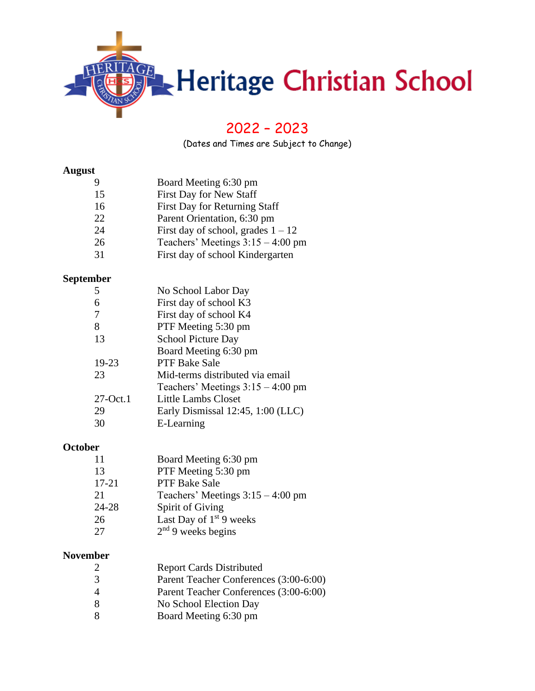

# – 2023

(Dates and Times are Subject to Change)

#### **August**

| 9  | Board Meeting 6:30 pm                |
|----|--------------------------------------|
| 15 | First Day for New Staff              |
| 16 | First Day for Returning Staff        |
| 22 | Parent Orientation, 6:30 pm          |
| 24 | First day of school, grades $1 - 12$ |
| 26 | Teachers' Meetings $3:15 - 4:00$ pm  |
| 31 | First day of school Kindergarten     |

## **September**

|             | No School Labor Day                    |
|-------------|----------------------------------------|
| 6           | First day of school K3                 |
| 7           | First day of school K4                 |
| 8           | PTF Meeting 5:30 pm                    |
| 13          | <b>School Picture Day</b>              |
|             | Board Meeting 6:30 pm                  |
| 19-23       | <b>PTF Bake Sale</b>                   |
| 23          | Mid-terms distributed via email        |
|             | Teachers' Meetings $3:15 - 4:00$ pm    |
| $27$ -Oct.1 | Little Lambs Closet                    |
| 29          | Early Dismissal $12:45$ , $1:00$ (LLC) |
| 30          | E-Learning                             |
|             |                                        |

#### **October**

| 11        | Board Meeting 6:30 pm               |
|-----------|-------------------------------------|
| 13        | PTF Meeting 5:30 pm                 |
| $17 - 21$ | <b>PTF Bake Sale</b>                |
| 21        | Teachers' Meetings $3:15 - 4:00$ pm |
| 24-28     | Spirit of Giving                    |
| 26        | Last Day of $1st 9$ weeks           |
| 27        | $2nd$ 9 weeks begins                |
|           |                                     |

#### **November**

| $\mathcal{L}$  | <b>Report Cards Distributed</b>        |
|----------------|----------------------------------------|
| 3              | Parent Teacher Conferences (3:00-6:00) |
| $\overline{4}$ | Parent Teacher Conferences (3:00-6:00) |
| -8             | No School Election Day                 |
| -8             | Board Meeting 6:30 pm                  |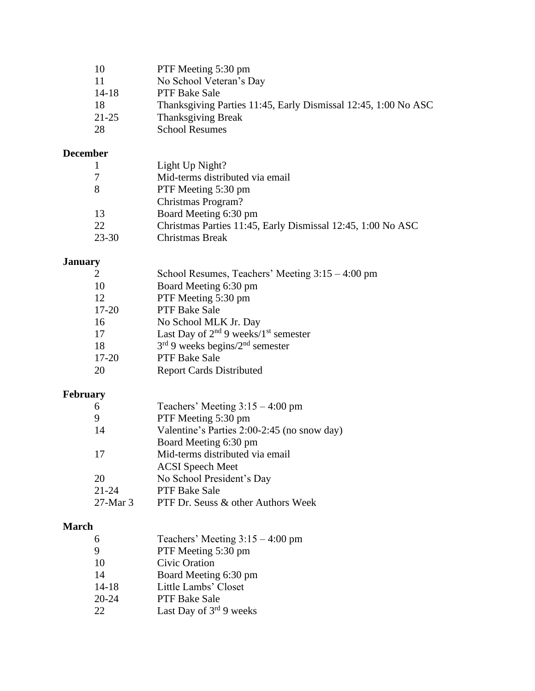| 10        | PTF Meeting 5:30 pm                                            |
|-----------|----------------------------------------------------------------|
| -11       | No School Veteran's Day                                        |
| $14 - 18$ | <b>PTF Bake Sale</b>                                           |
| 18        | Thanksgiving Parties 11:45, Early Dismissal 12:45, 1:00 No ASC |
| $21 - 25$ | <b>Thanksgiving Break</b>                                      |
| 28        | <b>School Resumes</b>                                          |

## **December**

| 1         | Light Up Night?                                             |
|-----------|-------------------------------------------------------------|
| 7         | Mid-terms distributed via email                             |
| 8         | PTF Meeting 5:30 pm                                         |
|           | Christmas Program?                                          |
| 13        | Board Meeting 6:30 pm                                       |
| 22        | Christmas Parties 11:45, Early Dismissal 12:45, 1:00 No ASC |
| $23 - 30$ | Christmas Break                                             |

## **January**

| 2         | School Resumes, Teachers' Meeting $3:15 - 4:00$ pm    |
|-----------|-------------------------------------------------------|
| 10        | Board Meeting 6:30 pm                                 |
| 12        | PTF Meeting 5:30 pm                                   |
| $17 - 20$ | PTF Bake Sale                                         |
| 16        | No School MLK Jr. Day                                 |
| 17        | Last Day of $2^{nd}$ 9 weeks/1 <sup>st</sup> semester |
| 18        | $3rd$ 9 weeks begins/ $2nd$ semester                  |
| $17 - 20$ | PTF Bake Sale                                         |
| 20        | <b>Report Cards Distributed</b>                       |
|           |                                                       |

## **February**

|             | Teachers' Meeting $3:15 - 4:00$ pm          |
|-------------|---------------------------------------------|
| 9           | PTF Meeting 5:30 pm                         |
| 14          | Valentine's Parties 2:00-2:45 (no snow day) |
|             | Board Meeting 6:30 pm                       |
| 17          | Mid-terms distributed via email             |
|             | <b>ACSI</b> Speech Meet                     |
| 20          | No School President's Day                   |
| $21 - 24$   | <b>PTF Bake Sale</b>                        |
| $27$ -Mar 3 | PTF Dr. Seuss & other Authors Week          |

## **March**

| Teachers' Meeting $3:15 - 4:00$ pm |
|------------------------------------|
| PTF Meeting 5:30 pm                |
| Civic Oration                      |
| Board Meeting 6:30 pm              |
| Little Lambs' Closet               |
| PTF Bake Sale                      |
| Last Day of $3^{rd}$ 9 weeks       |
|                                    |